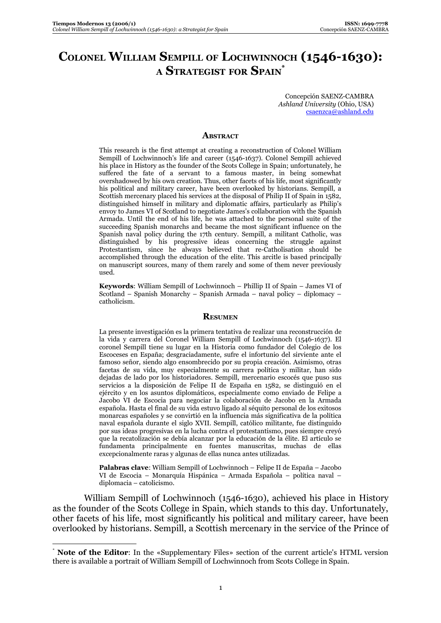## **COLONEL WILLIAM SEMPILL OF LOCHWINNOCH (1546-1630): A STRATEGIST FOR SPAIN\***

Concepción SAENZ-CAMBRA *Ashland University* (Ohio, USA) csaenzca@ashland.edu

## **ABSTRACT**

This research is the first attempt at creating a reconstruction of Colonel William Sempill of Lochwinnoch's life and career (1546-1637). Colonel Sempill achieved his place in History as the founder of the Scots College in Spain; unfortunately, he suffered the fate of a servant to a famous master, in being somewhat overshadowed by his own creation. Thus, other facets of his life, most significantly his political and military career, have been overlooked by historians. Sempill, a Scottish mercenary placed his services at the disposal of Philip II of Spain in 1582, distinguished himself in military and diplomatic affairs, particularly as Philip's envoy to James VI of Scotland to negotiate James's collaboration with the Spanish Armada. Until the end of his life, he was attached to the personal suite of the succeeding Spanish monarchs and became the most significant influence on the Spanish naval policy during the 17th century. Sempill, a militant Catholic, was distinguished by his progressive ideas concerning the struggle against Protestantism, since he always believed that re-Catholisation should be accomplished through the education of the elite. This arcitle is based principally on manuscript sources, many of them rarely and some of them never previously used.

**Keywords**: William Sempill of Lochwinnoch – Phillip II of Spain – James VI of Scotland – Spanish Monarchy – Spanish Armada – naval policy – diplomacy – catholicism.

## **RESUMEN**

La presente investigación es la primera tentativa de realizar una reconstrucción de la vida y carrera del Coronel William Sempill of Lochwinnoch (1546-1637). El coronel Sempill tiene su lugar en la Historia como fundador del Colegio de los Escoceses en España; desgraciadamente, sufre el infortunio del sirviente ante el famoso señor, siendo algo ensombrecido por su propia creación. Asimismo, otras facetas de su vida, muy especialmente su carrera política y militar, han sido dejadas de lado por los historiadores. Sempill, mercenario escocés que puso sus servicios a la disposición de Felipe II de España en 1582, se distinguió en el ejército y en los asuntos diplomáticos, especialmente como enviado de Felipe a Jacobo VI de Escocia para negociar la colaboración de Jacobo en la Armada española. Hasta el final de su vida estuvo ligado al séquito personal de los exitosos monarcas españoles y se convirtió en la influencia más significativa de la política naval española durante el siglo XVII. Sempill, católico militante, fue distinguido por sus ideas progresivas en la lucha contra el protestantismo, pues siempre creyó que la recatolización se debía alcanzar por la educación de la élite. El artículo se fundamenta principalmente en fuentes manuscritas, muchas de ellas excepcionalmente raras y algunas de ellas nunca antes utilizadas.

**Palabras clave**: William Sempill of Lochwinnoch – Felipe II de España – Jacobo VI de Escocia – Monarquía Hispánica – Armada Española – política naval – diplomacia – catolicismo.

William Sempill of Lochwinnoch (1546-1630), achieved his place in History as the founder of the Scots College in Spain, which stands to this day. Unfortunately, other facets of his life, most significantly his political and military career, have been overlooked by historians. Sempill, a Scottish mercenary in the service of the Prince of

**Note of the Editor:** In the «Supplementary Files» section of the current article's HTML version there is available a portrait of William Sempill of Lochwinnoch from Scots College in Spain.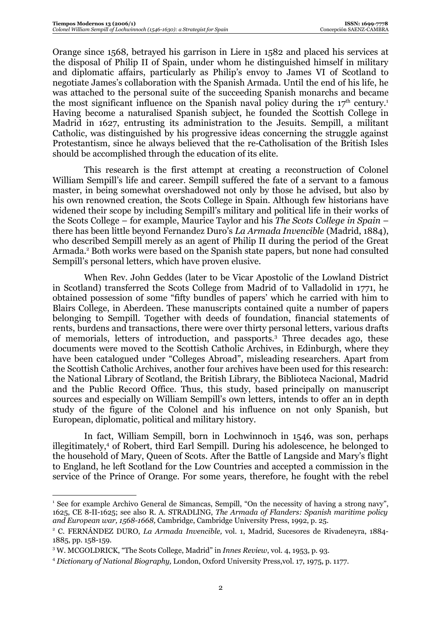Orange since 1568, betrayed his garrison in Liere in 1582 and placed his services at the disposal of Philip II of Spain, under whom he distinguished himself in military and diplomatic affairs, particularly as Philip's envoy to James VI of Scotland to negotiate James's collaboration with the Spanish Armada. Until the end of his life, he was attached to the personal suite of the succeeding Spanish monarchs and became the most significant influence on the Spanish naval policy during the  $17<sup>th</sup>$  century.<sup>1</sup> Having become a naturalised Spanish subject, he founded the Scottish College in Madrid in 1627, entrusting its administration to the Jesuits. Sempill, a militant Catholic, was distinguished by his progressive ideas concerning the struggle against Protestantism, since he always believed that the re-Catholisation of the British Isles should be accomplished through the education of its elite.

This research is the first attempt at creating a reconstruction of Colonel William Sempill's life and career. Sempill suffered the fate of a servant to a famous master, in being somewhat overshadowed not only by those he advised, but also by his own renowned creation, the Scots College in Spain. Although few historians have widened their scope by including Sempill's military and political life in their works of the Scots College – for example, Maurice Taylor and his *The Scots College in Spain* – there has been little beyond Fernandez Duro's *La Armada Invencible* (Madrid, 1884), who described Sempill merely as an agent of Philip II during the period of the Great Armada.<sup>2</sup> Both works were based on the Spanish state papers, but none had consulted Sempill's personal letters, which have proven elusive.

When Rev. John Geddes (later to be Vicar Apostolic of the Lowland District in Scotland) transferred the Scots College from Madrid of to Valladolid in 1771, he obtained possession of some "fifty bundles of papers' which he carried with him to Blairs College, in Aberdeen. These manuscripts contained quite a number of papers belonging to Sempill. Together with deeds of foundation, financial statements of rents, burdens and transactions, there were over thirty personal letters, various drafts of memorials, letters of introduction, and passports.<sup>3</sup> Three decades ago, these documents were moved to the Scottish Catholic Archives, in Edinburgh, where they have been catalogued under "Colleges Abroad", misleading researchers. Apart from the Scottish Catholic Archives, another four archives have been used for this research: the National Library of Scotland, the British Library, the Biblioteca Nacional, Madrid and the Public Record Office. Thus, this study, based principally on manuscript sources and especially on William Sempill's own letters, intends to offer an in depth study of the figure of the Colonel and his influence on not only Spanish, but European, diplomatic, political and military history.

In fact, William Sempill, born in Lochwinnoch in 1546, was son, perhaps illegitimately,4 of Robert, third Earl Sempill. During his adolescence, he belonged to the household of Mary, Queen of Scots. After the Battle of Langside and Mary's flight to England, he left Scotland for the Low Countries and accepted a commission in the service of the Prince of Orange. For some years, therefore, he fought with the rebel

<sup>&</sup>lt;sup>1</sup> See for example Archivo General de Simancas, Sempill, "On the necessity of having a strong navy", 1625, CE 8-II-1625; see also R. A. STRADLING, *The Armada of Flanders: Spanish maritime policy and European war, 1568-1668,* Cambridge, Cambridge University Press, 1992, p. 25.

<sup>2</sup> C. FERNÁNDEZ DURO, *La Armada Invencible,* vol. 1, Madrid, Sucesores de Rivadeneyra, 1884- 1885, pp. 158-159.

<sup>&</sup>lt;sup>3</sup> W. MCGOLDRICK, "The Scots College, Madrid" in *Innes Review*, vol. 4, 1953, p. 93.

<sup>4</sup> *Dictionary of National Biography,* London, Oxford University Press,vol. 17, 1975, p. 1177.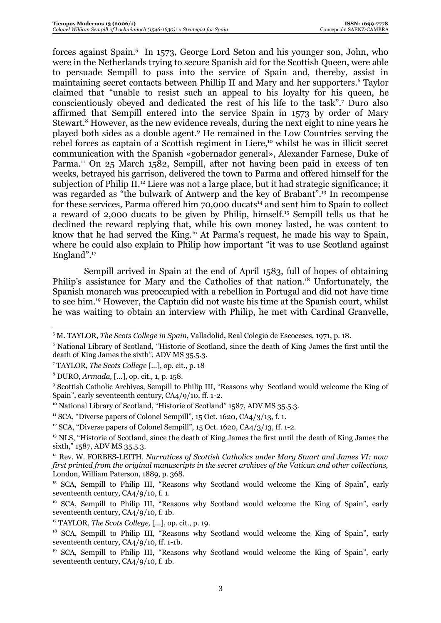forces against Spain.<sup>5</sup> In 1573, George Lord Seton and his younger son, John, who were in the Netherlands trying to secure Spanish aid for the Scottish Queen, were able to persuade Sempill to pass into the service of Spain and, thereby, assist in maintaining secret contacts between Phillip II and Mary and her supporters.<sup>6</sup> Taylor claimed that "unable to resist such an appeal to his loyalty for his queen, he conscientiously obeyed and dedicated the rest of his life to the task".7 Duro also affirmed that Sempill entered into the service Spain in 1573 by order of Mary Stewart.<sup>8</sup> However, as the new evidence reveals, during the next eight to nine years he played both sides as a double agent.9 He remained in the Low Countries serving the rebel forces as captain of a Scottish regiment in Liere,<sup>10</sup> whilst he was in illicit secret communication with the Spanish «gobernador general», Alexander Farnese, Duke of Parma.<sup>11</sup> On 25 March 1582, Sempill, after not having been paid in excess of ten weeks, betrayed his garrison, delivered the town to Parma and offered himself for the subjection of Philip II.<sup>12</sup> Liere was not a large place, but it had strategic significance; it was regarded as "the bulwark of Antwerp and the key of Brabant".13 In recompense for these services, Parma offered him  $70,000$  ducats<sup>14</sup> and sent him to Spain to collect a reward of 2,000 ducats to be given by Philip, himself.15 Sempill tells us that he declined the reward replying that, while his own money lasted, he was content to know that he had served the King.16 At Parma's request, he made his way to Spain, where he could also explain to Philip how important "it was to use Scotland against England".<sup>17</sup>

Sempill arrived in Spain at the end of April 1583, full of hopes of obtaining Philip's assistance for Mary and the Catholics of that nation.<sup>18</sup> Unfortunately, the Spanish monarch was preoccupied with a rebellion in Portugal and did not have time to see him.19 However, the Captain did not waste his time at the Spanish court, whilst he was waiting to obtain an interview with Philip, he met with Cardinal Granvelle,

<sup>6</sup> National Library of Scotland, "Historie of Scotland, since the death of King James the first until the death of King James the sixth"*,* ADV MS 35.5.3.

<sup>5</sup> M. TAYLOR, *The Scots College in Spain*, Valladolid, Real Colegio de Escoceses, 1971, p. 18.

<sup>7</sup> TAYLOR, *The Scots College* [...], op. cit., p. 18

<sup>8</sup> DURO, *Armada,* [...], op. cit.*,* 1, p. 158.

<sup>&</sup>lt;sup>9</sup> Scottish Catholic Archives, Sempill to Philip III, "Reasons why Scotland would welcome the King of Spain", early seventeenth century, CA4/9/10, ff. 1-2.

<sup>&</sup>lt;sup>10</sup> National Library of Scotland, "Historie of Scotland" 1587, ADV MS 35.5.3.

 $11$  SCA, "Diverse papers of Colonel Sempill", 15 Oct. 1620, CA4/3/13, f. 1.

<sup>&</sup>lt;sup>12</sup> SCA, "Diverse papers of Colonel Sempill", 15 Oct. 1620, CA $4/3/13$ , ff. 1-2.

<sup>&</sup>lt;sup>13</sup> NLS, "Historie of Scotland, since the death of King James the first until the death of King James the sixth," 1587, ADV MS 35.5.3.

<sup>14</sup> Rev. W. FORBES-LEITH, *Narratives of Scottish Catholics under Mary Stuart and James VI: now first printed from the original manuscripts in the secret archives of the Vatican and other collections,* London, William Paterson, 1889, p. 368.

<sup>&</sup>lt;sup>15</sup> SCA, Sempill to Philip III, "Reasons why Scotland would welcome the King of Spain", early seventeenth century, CA4/9/10, f. 1.

<sup>&</sup>lt;sup>16</sup> SCA, Sempill to Philip III, "Reasons why Scotland would welcome the King of Spain", early seventeenth century, CA4/9/10, f. 1b.

<sup>17</sup> TAYLOR, *The Scots College,* [...], op. cit., p. 19.

<sup>&</sup>lt;sup>18</sup> SCA, Sempill to Philip III, "Reasons why Scotland would welcome the King of Spain", early seventeenth century, CA4/9/10, ff. 1-1b.

<sup>&</sup>lt;sup>19</sup> SCA, Sempill to Philip III, "Reasons why Scotland would welcome the King of Spain", early seventeenth century, CA4/9/10, f. 1b.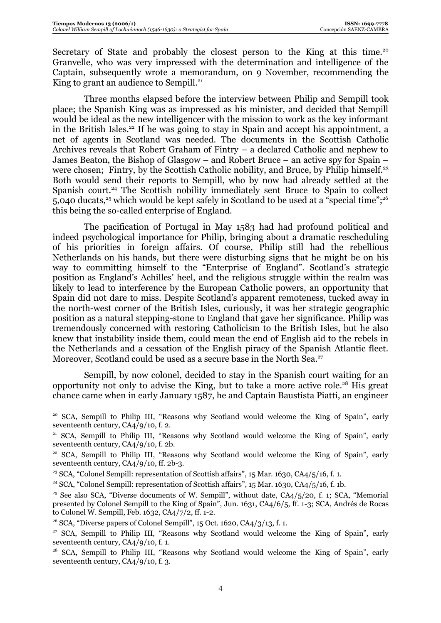Secretary of State and probably the closest person to the King at this time.<sup>20</sup> Granvelle, who was very impressed with the determination and intelligence of the Captain, subsequently wrote a memorandum, on 9 November, recommending the King to grant an audience to Sempill. $21$ 

Three months elapsed before the interview between Philip and Sempill took place; the Spanish King was as impressed as his minister, and decided that Sempill would be ideal as the new intelligencer with the mission to work as the key informant in the British Isles.<sup>22</sup> If he was going to stay in Spain and accept his appointment, a net of agents in Scotland was needed. The documents in the Scottish Catholic Archives reveals that Robert Graham of Fintry – a declared Catholic and nephew to James Beaton, the Bishop of Glasgow – and Robert Bruce – an active spy for Spain – were chosen; Fintry, by the Scottish Catholic nobility, and Bruce, by Philip himself.<sup>23</sup> Both would send their reports to Sempill, who by now had already settled at the Spanish court.<sup>24</sup> The Scottish nobility immediately sent Bruce to Spain to collect 5,040 ducats,<sup>25</sup> which would be kept safely in Scotland to be used at a "special time";<sup>26</sup> this being the so-called enterprise of England.

The pacification of Portugal in May 1583 had had profound political and indeed psychological importance for Philip, bringing about a dramatic rescheduling of his priorities in foreign affairs. Of course, Philip still had the rebellious Netherlands on his hands, but there were disturbing signs that he might be on his way to committing himself to the "Enterprise of England". Scotland's strategic position as England's Achilles' heel, and the religious struggle within the realm was likely to lead to interference by the European Catholic powers, an opportunity that Spain did not dare to miss. Despite Scotland's apparent remoteness, tucked away in the north-west corner of the British Isles, curiously, it was her strategic geographic position as a natural stepping-stone to England that gave her significance. Philip was tremendously concerned with restoring Catholicism to the British Isles, but he also knew that instability inside them, could mean the end of English aid to the rebels in the Netherlands and a cessation of the English piracy of the Spanish Atlantic fleet. Moreover, Scotland could be used as a secure base in the North Sea.<sup>27</sup>

Sempill, by now colonel, decided to stay in the Spanish court waiting for an opportunity not only to advise the King, but to take a more active role.28 His great chance came when in early January 1587, he and Captain Baustista Piatti, an engineer

<sup>&</sup>lt;sup>20</sup> SCA, Sempill to Philip III, "Reasons why Scotland would welcome the King of Spain", early seventeenth century, CA4/9/10, f. 2.

<sup>&</sup>lt;sup>21</sup> SCA, Sempill to Philip III, "Reasons why Scotland would welcome the King of Spain", early seventeenth century, CA4/9/10, f. 2b.

<sup>&</sup>lt;sup>22</sup> SCA, Sempill to Philip III, "Reasons why Scotland would welcome the King of Spain", early seventeenth century, CA4/9/10, ff. 2b-3.

<sup>&</sup>lt;sup>23</sup> SCA, "Colonel Sempill: representation of Scottish affairs", 15 Mar. 1630, CA4/5/16, f. 1.

<sup>&</sup>lt;sup>24</sup> SCA, "Colonel Sempill: representation of Scottish affairs", 15 Mar. 1630, CA4/5/16, f. 1b.

<sup>&</sup>lt;sup>25</sup> See also SCA, "Diverse documents of W. Sempill", without date,  $CA4/5/20$ , f. 1; SCA, "Memorial" presented by Colonel Sempill to the King of Spain", Jun. 1631, CA4/6/5, ff. 1-3; SCA, Andrés de Rocas to Colonel W. Sempill, Feb. 1632, CA4/7/2, ff. 1-2.

<sup>&</sup>lt;sup>26</sup> SCA, "Diverse papers of Colonel Sempill", 15 Oct. 1620, CA $4/3/13$ , f. 1.

<sup>&</sup>lt;sup>27</sup> SCA, Sempill to Philip III, "Reasons why Scotland would welcome the King of Spain", early seventeenth century, CA4/9/10, f. 1.

<sup>&</sup>lt;sup>28</sup> SCA, Sempill to Philip III, "Reasons why Scotland would welcome the King of Spain", early seventeenth century, CA4/9/10, f. 3.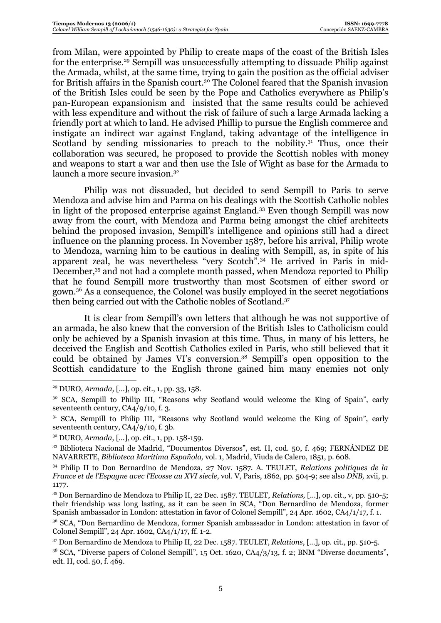from Milan, were appointed by Philip to create maps of the coast of the British Isles for the enterprise.29 Sempill was unsuccessfully attempting to dissuade Philip against the Armada, whilst, at the same time, trying to gain the position as the official adviser for British affairs in the Spanish court.30 The Colonel feared that the Spanish invasion of the British Isles could be seen by the Pope and Catholics everywhere as Philip's pan-European expansionism and insisted that the same results could be achieved with less expenditure and without the risk of failure of such a large Armada lacking a friendly port at which to land. He advised Phillip to pursue the English commerce and instigate an indirect war against England, taking advantage of the intelligence in Scotland by sending missionaries to preach to the nobility. $31$  Thus, once their collaboration was secured, he proposed to provide the Scottish nobles with money and weapons to start a war and then use the Isle of Wight as base for the Armada to launch a more secure invasion.<sup>32</sup>

Philip was not dissuaded, but decided to send Sempill to Paris to serve Mendoza and advise him and Parma on his dealings with the Scottish Catholic nobles in light of the proposed enterprise against England.33 Even though Sempill was now away from the court, with Mendoza and Parma being amongst the chief architects behind the proposed invasion, Sempill's intelligence and opinions still had a direct influence on the planning process. In November 1587, before his arrival, Philip wrote to Mendoza, warning him to be cautious in dealing with Sempill, as, in spite of his apparent zeal, he was nevertheless "very Scotch".34 He arrived in Paris in mid-December,<sup>35</sup> and not had a complete month passed, when Mendoza reported to Philip that he found Sempill more trustworthy than most Scotsmen of either sword or gown.36 As a consequence, the Colonel was busily employed in the secret negotiations then being carried out with the Catholic nobles of Scotland.37

It is clear from Sempill's own letters that although he was not supportive of an armada, he also knew that the conversion of the British Isles to Catholicism could only be achieved by a Spanish invasion at this time. Thus, in many of his letters, he deceived the English and Scottish Catholics exiled in Paris, who still believed that it could be obtained by James VI's conversion.38 Sempill's open opposition to the Scottish candidature to the English throne gained him many enemies not only

<sup>29</sup> DURO, *Armada,* [...], op. cit., 1, pp. 33, 158.

<sup>&</sup>lt;sup>30</sup> SCA, Sempill to Philip III, "Reasons why Scotland would welcome the King of Spain", early seventeenth century, CA4/9/10, f. 3.

 $31$  SCA, Sempill to Philip III, "Reasons why Scotland would welcome the King of Spain", early seventeenth century, CA4/9/10, f. 3b.

<sup>32</sup> DURO, *Armada,* [...], op. cit., 1, pp. 158-159.

<sup>33</sup> Biblioteca Nacional de Madrid, "Documentos Diversos", est. H, cod. 50, f. 469; FERNÁNDEZ DE NAVARRETE, *Biblioteca Marítima Española,* vol. 1, Madrid, Viuda de Calero, 1851, p. 608.

<sup>34</sup> Philip II to Don Bernardino de Mendoza, 27 Nov. 1587. A. TEULET, *Relations politiques de la France et de l'Espagne avec l'Ecosse au XVI siecle*, vol. V, Paris, 1862, pp. 504-9; see also *DNB,* xvii, p. 1177.

<sup>35</sup> Don Bernardino de Mendoza to Philip II, 22 Dec. 1587. TEULET, *Relations,* [...], op. cit., v, pp. 510-5; their friendship was long lasting, as it can be seen in SCA, "Don Bernardino de Mendoza, former Spanish ambassador in London: attestation in favor of Colonel Sempill", 24 Apr. 1602, CA4/1/17, f. 1.

<sup>&</sup>lt;sup>36</sup> SCA, "Don Bernardino de Mendoza, former Spanish ambassador in London: attestation in favor of Colonel Sempill", 24 Apr. 1602, CA4/1/17, ff. 1-2.

<sup>37</sup> Don Bernardino de Mendoza to Philip II, 22 Dec. 1587. TEULET, *Relations*, [...], op. cit., pp. 510-5.

 $3^8$  SCA, "Diverse papers of Colonel Sempill", 15 Oct. 1620, CA $4/3/13$ , f. 2; BNM "Diverse documents", edt. H, cod. 50, f. 469.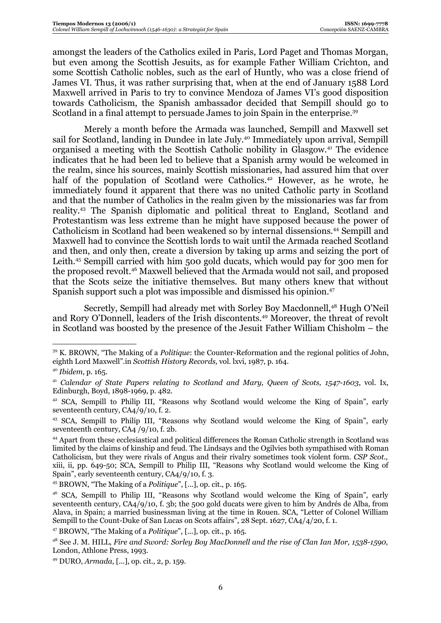amongst the leaders of the Catholics exiled in Paris, Lord Paget and Thomas Morgan, but even among the Scottish Jesuits, as for example Father William Crichton, and some Scottish Catholic nobles, such as the earl of Huntly, who was a close friend of James VI. Thus, it was rather surprising that, when at the end of January 1588 Lord Maxwell arrived in Paris to try to convince Mendoza of James VI's good disposition towards Catholicism, the Spanish ambassador decided that Sempill should go to Scotland in a final attempt to persuade James to join Spain in the enterprise.<sup>39</sup>

Merely a month before the Armada was launched, Sempill and Maxwell set sail for Scotland, landing in Dundee in late July.<sup>40</sup> Immediately upon arrival, Sempill organised a meeting with the Scottish Catholic nobility in Glasgow.41 The evidence indicates that he had been led to believe that a Spanish army would be welcomed in the realm, since his sources, mainly Scottish missionaries, had assured him that over half of the population of Scotland were Catholics.<sup>42</sup> However, as he wrote, he immediately found it apparent that there was no united Catholic party in Scotland and that the number of Catholics in the realm given by the missionaries was far from reality.43 The Spanish diplomatic and political threat to England, Scotland and Protestantism was less extreme than he might have supposed because the power of Catholicism in Scotland had been weakened so by internal dissensions.44 Sempill and Maxwell had to convince the Scottish lords to wait until the Armada reached Scotland and then, and only then, create a diversion by taking up arms and seizing the port of Leith.45 Sempill carried with him 500 gold ducats, which would pay for 300 men for the proposed revolt.46 Maxwell believed that the Armada would not sail, and proposed that the Scots seize the initiative themselves. But many others knew that without Spanish support such a plot was impossible and dismissed his opinion.47

Secretly, Sempill had already met with Sorley Boy Macdonnell,<sup>48</sup> Hugh O'Neil and Rory O'Donnell, leaders of the Irish discontents.49 Moreover, the threat of revolt in Scotland was boosted by the presence of the Jesuit Father William Chisholm – the

<sup>39</sup> K. BROWN, "The Making of a *Politique*: the Counter-Reformation and the regional politics of John, eighth Lord Maxwell".in *Scottish History Records,* vol. lxvi, 1987, p. 164.

<sup>40</sup> *Ibidem*, p. 165.

<sup>41</sup> *Calendar of State Papers relating to Scotland and Mary, Queen of Scots, 1547-1603*, vol. Ix, Edinburgh, Boyd, 1898-1969, p. 482.

<sup>&</sup>lt;sup>42</sup> SCA, Sempill to Philip III, "Reasons why Scotland would welcome the King of Spain", early seventeenth century, CA4/9/10, f. 2.

<sup>43</sup> SCA, Sempill to Philip III, "Reasons why Scotland would welcome the King of Spain", early seventeenth century, CA4 /9/10, f. 2b.

<sup>44</sup> Apart from these ecclesiastical and political differences the Roman Catholic strength in Scotland was limited by the claims of kinship and feud. The Lindsays and the Ogilvies both sympathised with Roman Catholicism, but they were rivals of Angus and their rivalry sometimes took violent form. *CSP Scot.,* xiii, ii, pp. 649-50; SCA, Sempill to Philip III, "Reasons why Scotland would welcome the King of Spain", early seventeenth century, CA4/9/10, f. 3.

<sup>45</sup> BROWN, "The Making of a *Politique*", [...], op. cit., p. 165.

<sup>&</sup>lt;sup>46</sup> SCA, Sempill to Philip III, "Reasons why Scotland would welcome the King of Spain", early seventeenth century, CA4/9/10, f. 3b; the 500 gold ducats were given to him by Andrés de Alba, from Alava, in Spain; a married businessman living at the time in Rouen. SCA, "Letter of Colonel William Sempill to the Count-Duke of San Lucas on Scots affairs", 28 Sept. 1627, CA4/4/20, f. 1.

<sup>47</sup> BROWN, "The Making of a *Politique*", [...], op. cit., p. 165.

<sup>48</sup> See J. M. HILL, *Fire and Sword: Sorley Boy MacDonnell and the rise of Clan Ian Mor, 1538-1590,* London, Athlone Press, 1993.

<sup>49</sup> DURO, *Armada,* [...], op. cit., 2, p. 159.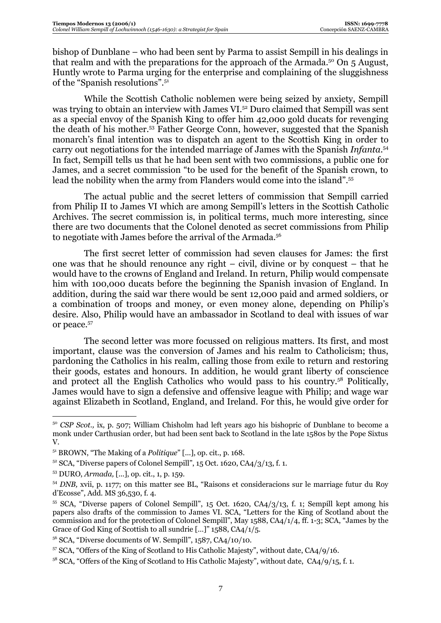bishop of Dunblane – who had been sent by Parma to assist Sempill in his dealings in that realm and with the preparations for the approach of the Armada.<sup>50</sup> On 5 August, Huntly wrote to Parma urging for the enterprise and complaining of the sluggishness of the "Spanish resolutions".51

While the Scottish Catholic noblemen were being seized by anxiety, Sempill was trying to obtain an interview with James VI.52 Duro claimed that Sempill was sent as a special envoy of the Spanish King to offer him 42,000 gold ducats for revenging the death of his mother.53 Father George Conn, however, suggested that the Spanish monarch's final intention was to dispatch an agent to the Scottish King in order to carry out negotiations for the intended marriage of James with the Spanish *Infanta*. 54 In fact, Sempill tells us that he had been sent with two commissions, a public one for James, and a secret commission "to be used for the benefit of the Spanish crown, to lead the nobility when the army from Flanders would come into the island".55

The actual public and the secret letters of commission that Sempill carried from Philip II to James VI which are among Sempill's letters in the Scottish Catholic Archives. The secret commission is, in political terms, much more interesting, since there are two documents that the Colonel denoted as secret commissions from Philip to negotiate with James before the arrival of the Armada.<sup>56</sup>

The first secret letter of commission had seven clauses for James: the first one was that he should renounce any right – civil, divine or by conquest – that he would have to the crowns of England and Ireland. In return, Philip would compensate him with 100,000 ducats before the beginning the Spanish invasion of England. In addition, during the said war there would be sent 12,000 paid and armed soldiers, or a combination of troops and money, or even money alone, depending on Philip's desire. Also, Philip would have an ambassador in Scotland to deal with issues of war or peace.57

The second letter was more focussed on religious matters. Its first, and most important, clause was the conversion of James and his realm to Catholicism; thus, pardoning the Catholics in his realm, calling those from exile to return and restoring their goods, estates and honours. In addition, he would grant liberty of conscience and protect all the English Catholics who would pass to his country.58 Politically, James would have to sign a defensive and offensive league with Philip; and wage war against Elizabeth in Scotland, England, and Ireland. For this, he would give order for

<sup>&</sup>lt;sup>50</sup> *CSP Scot.*, ix, p. 507; William Chisholm had left years ago his bishopric of Dunblane to become a monk under Carthusian order, but had been sent back to Scotland in the late 1580s by the Pope Sixtus V.

<sup>51</sup> BROWN, "The Making of a *Politique*" [...], op. cit., p. 168.

 $52$  SCA, "Diverse papers of Colonel Sempill", 15 Oct. 1620, CA4/3/13, f. 1.

<sup>53</sup> DURO, *Armada,* [...], op. cit., 1, p. 159.

<sup>54</sup> *DNB,* xvii, p. 1177; on this matter see BL, "Raisons et consideracions sur le marriage futur du Roy d'Ecosse", Add. MS 36,530, f. 4.

<sup>&</sup>lt;sup>55</sup> SCA, "Diverse papers of Colonel Sempill", 15 Oct. 1620, CA4/3/13, f. 1; Sempill kept among his papers also drafts of the commission to James VI. SCA, "Letters for the King of Scotland about the commission and for the protection of Colonel Sempill", May 1588, CA4/1/4, ff. 1-3; SCA, "James by the Grace of God King of Scottish to all sundrie […]" 1588, CA4/1/5.

<sup>&</sup>lt;sup>56</sup> SCA, "Diverse documents of W. Sempill", 1587, CA4/10/10.

<sup>&</sup>lt;sup>57</sup> SCA, "Offers of the King of Scotland to His Catholic Majesty", without date, CA4/9/16.

 $58$  SCA, "Offers of the King of Scotland to His Catholic Majesty", without date,  $CA4/9/15$ , f. 1.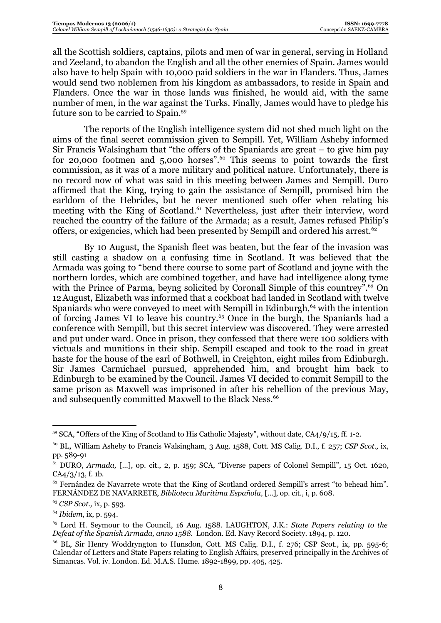all the Scottish soldiers, captains, pilots and men of war in general, serving in Holland and Zeeland, to abandon the English and all the other enemies of Spain. James would also have to help Spain with 10,000 paid soldiers in the war in Flanders. Thus, James would send two noblemen from his kingdom as ambassadors, to reside in Spain and Flanders. Once the war in those lands was finished, he would aid, with the same number of men, in the war against the Turks. Finally, James would have to pledge his future son to be carried to Spain.59

The reports of the English intelligence system did not shed much light on the aims of the final secret commission given to Sempill. Yet, William Asheby informed Sir Francis Walsingham that "the offers of the Spaniards are great – to give him pay for 20,000 footmen and 5,000 horses".<sup>60</sup> This seems to point towards the first commission, as it was of a more military and political nature. Unfortunately, there is no record now of what was said in this meeting between James and Sempill. Duro affirmed that the King, trying to gain the assistance of Sempill, promised him the earldom of the Hebrides, but he never mentioned such offer when relating his meeting with the King of Scotland.<sup>61</sup> Nevertheless, just after their interview, word reached the country of the failure of the Armada; as a result, James refused Philip's offers, or exigencies, which had been presented by Sempill and ordered his arrest.<sup>62</sup>

By 10 August, the Spanish fleet was beaten, but the fear of the invasion was still casting a shadow on a confusing time in Scotland. It was believed that the Armada was going to "bend there course to some part of Scotland and joyne with the northern lordes, which are combined together, and have had intelligence along tyme with the Prince of Parma, beyng solicited by Coronall Simple of this countrey<sup>", 63</sup> On 12August, Elizabeth was informed that a cockboat had landed in Scotland with twelve Spaniards who were conveyed to meet with Sempill in Edinburgh, $64$  with the intention of forcing James VI to leave his country.<sup>65</sup> Once in the burgh, the Spaniards had a conference with Sempill, but this secret interview was discovered. They were arrested and put under ward. Once in prison, they confessed that there were 100 soldiers with victuals and munitions in their ship. Sempill escaped and took to the road in great haste for the house of the earl of Bothwell, in Creighton, eight miles from Edinburgh. Sir James Carmichael pursued, apprehended him, and brought him back to Edinburgh to be examined by the Council. James VI decided to commit Sempill to the same prison as Maxwell was imprisoned in after his rebellion of the previous May, and subsequently committed Maxwell to the Black Ness.<sup>66</sup>

<sup>&</sup>lt;sup>59</sup> SCA, "Offers of the King of Scotland to His Catholic Majesty", without date, CA4/9/15, ff. 1-2.

<sup>60</sup> BL, William Asheby to Francis Walsingham, 3 Aug. 1588, Cott. MS Calig. D.I., f. 257; *CSP Scot.,* ix, pp. 589-91

<sup>61</sup> DURO, *Armada,* [...], op. cit., 2, p. 159; SCA, "Diverse papers of Colonel Sempill", 15 Oct. 1620, CA4/3/13, f. 1b.

<sup>&</sup>lt;sup>62</sup> Fernández de Navarrete wrote that the King of Scotland ordered Sempill's arrest "to behead him". FERNÁNDEZ DE NAVARRETE, *Biblioteca Marítima Española,* [...], op. cit., i, p. 608.

<sup>63</sup> *CSP Scot.,* ix, p. 593.

<sup>64</sup> *Ibidem*, ix, p. 594.

<sup>65</sup> Lord H. Seymour to the Council, 16 Aug. 1588. LAUGHTON, J.K.: *State Papers relating to the Defeat of the Spanish Armada, anno 1588*. London. Ed. Navy Record Society. 1894, p. 120.

<sup>&</sup>lt;sup>66</sup> BL, Sir Henry Woddryngton to Hunsdon, Cott. MS Calig. D.I., f. 276; CSP Scot., ix, pp. 595-6; Calendar of Letters and State Papers relating to English Affairs, preserved principally in the Archives of Simancas. Vol. iv. London. Ed. M.A.S. Hume. 1892-1899, pp. 405, 425.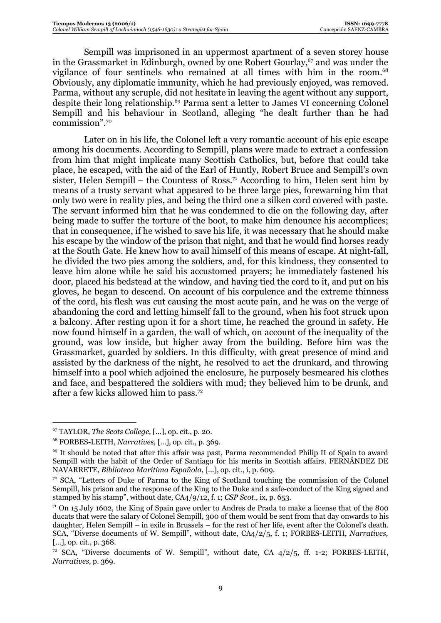Sempill was imprisoned in an uppermost apartment of a seven storey house in the Grassmarket in Edinburgh, owned by one Robert Gourlay,<sup>67</sup> and was under the vigilance of four sentinels who remained at all times with him in the room.<sup>68</sup> Obviously, any diplomatic immunity, which he had previously enjoyed, was removed. Parma, without any scruple, did not hesitate in leaving the agent without any support, despite their long relationship.69 Parma sent a letter to James VI concerning Colonel Sempill and his behaviour in Scotland, alleging "he dealt further than he had commission".70

Later on in his life, the Colonel left a very romantic account of his epic escape among his documents. According to Sempill, plans were made to extract a confession from him that might implicate many Scottish Catholics, but, before that could take place, he escaped, with the aid of the Earl of Huntly, Robert Bruce and Sempill's own sister, Helen Sempill – the Countess of Ross.<sup>71</sup> According to him, Helen sent him by means of a trusty servant what appeared to be three large pies, forewarning him that only two were in reality pies, and being the third one a silken cord covered with paste. The servant informed him that he was condemned to die on the following day, after being made to suffer the torture of the boot, to make him denounce his accomplices; that in consequence, if he wished to save his life, it was necessary that he should make his escape by the window of the prison that night, and that he would find horses ready at the South Gate. He knew how to avail himself of this means of escape. At night-fall, he divided the two pies among the soldiers, and, for this kindness, they consented to leave him alone while he said his accustomed prayers; he immediately fastened his door, placed his bedstead at the window, and having tied the cord to it, and put on his gloves, he began to descend. On account of his corpulence and the extreme thinness of the cord, his flesh was cut causing the most acute pain, and he was on the verge of abandoning the cord and letting himself fall to the ground, when his foot struck upon a balcony. After resting upon it for a short time, he reached the ground in safety. He now found himself in a garden, the wall of which, on account of the inequality of the ground, was low inside, but higher away from the building. Before him was the Grassmarket, guarded by soldiers. In this difficulty, with great presence of mind and assisted by the darkness of the night, he resolved to act the drunkard, and throwing himself into a pool which adjoined the enclosure, he purposely besmeared his clothes and face, and bespattered the soldiers with mud; they believed him to be drunk, and after a few kicks allowed him to pass.72

<sup>67</sup> TAYLOR, *The Scots College,* [...], op. cit., p. 20.

<sup>68</sup> FORBES-LEITH, *Narratives,* [...], op. cit., p. 369.

<sup>69</sup> It should be noted that after this affair was past, Parma recommended Philip II of Spain to award Sempill with the habit of the Order of Santiago for his merits in Scottish affairs. FERNÁNDEZ DE NAVARRETE, *Biblioteca Marítima Española*, [...], op. cit., i, p. 609.<br><sup>70</sup> SCA, "Letters of Duke of Parma to the King of Scotland touching the commission of the Colonel

Sempill, his prison and the response of the King to the Duke and a safe-conduct of the King signed and stamped by his stamp", without date, CA4/9/12, f. 1; *CSP Scot.,* ix, p. 653.

 $71$  On 15 July 1602, the King of Spain gave order to Andres de Prada to make a license that of the 800 ducats that were the salary of Colonel Sempill, 300 of them would be sent from that day onwards to his daughter, Helen Sempill – in exile in Brussels – for the rest of her life, event after the Colonel's death. SCA, "Diverse documents of W. Sempill", without date, CA4/2/5, f. 1; FORBES-LEITH, *Narratives,* [...], op. cit., p. 368.

<sup>&</sup>lt;sup>72</sup> SCA, "Diverse documents of W. Sempill", without date, CA  $4/2/5$ , ff. 1-2; FORBES-LEITH, *Narratives*, p. 369.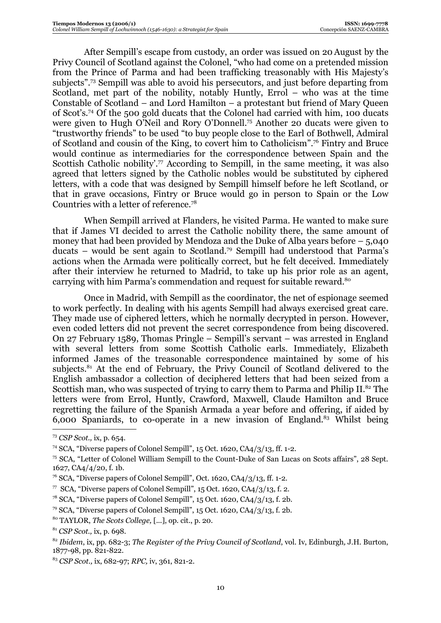After Sempill's escape from custody, an order was issued on 20August by the Privy Council of Scotland against the Colonel, "who had come on a pretended mission from the Prince of Parma and had been trafficking treasonably with His Majesty's subjects".73 Sempill was able to avoid his persecutors, and just before departing from Scotland, met part of the nobility, notably Huntly, Errol – who was at the time Constable of Scotland – and Lord Hamilton – a protestant but friend of Mary Queen of Scot's.74 Of the 500 gold ducats that the Colonel had carried with him, 100 ducats were given to Hugh O'Neil and Rory O'Donnell.75 Another 20 ducats were given to "trustworthy friends" to be used "to buy people close to the Earl of Bothwell, Admiral of Scotland and cousin of the King, to covert him to Catholicism".76 Fintry and Bruce would continue as intermediaries for the correspondence between Spain and the Scottish Catholic nobility'.<sup>77</sup> According to Sempill, in the same meeting, it was also agreed that letters signed by the Catholic nobles would be substituted by ciphered letters, with a code that was designed by Sempill himself before he left Scotland, or that in grave occasions, Fintry or Bruce would go in person to Spain or the Low Countries with a letter of reference.78

When Sempill arrived at Flanders, he visited Parma. He wanted to make sure that if James VI decided to arrest the Catholic nobility there, the same amount of money that had been provided by Mendoza and the Duke of Alba years before – 5,040 ducats – would be sent again to Scotland.79 Sempill had understood that Parma's actions when the Armada were politically correct, but he felt deceived. Immediately after their interview he returned to Madrid, to take up his prior role as an agent, carrying with him Parma's commendation and request for suitable reward.<sup>80</sup>

Once in Madrid, with Sempill as the coordinator, the net of espionage seemed to work perfectly. In dealing with his agents Sempill had always exercised great care. They made use of ciphered letters, which he normally decrypted in person. However, even coded letters did not prevent the secret correspondence from being discovered. On 27 February 1589, Thomas Pringle – Sempill's servant – was arrested in England with several letters from some Scottish Catholic earls. Immediately, Elizabeth informed James of the treasonable correspondence maintained by some of his subjects. $81$  At the end of February, the Privy Council of Scotland delivered to the English ambassador a collection of deciphered letters that had been seized from a Scottish man, who was suspected of trying to carry them to Parma and Philip II.<sup>82</sup> The letters were from Errol, Huntly, Crawford, Maxwell, Claude Hamilton and Bruce regretting the failure of the Spanish Armada a year before and offering, if aided by 6,000 Spaniards, to co-operate in a new invasion of England. $83$  Whilst being

<sup>73</sup> *CSP Scot.,* ix, p. 654.

<sup>74</sup> SCA, "Diverse papers of Colonel Sempill", 15 Oct. 1620, CA4/3/13, ff. 1-2.

<sup>75</sup> SCA, "Letter of Colonel William Sempill to the Count-Duke of San Lucas on Scots affairs", 28 Sept. 1627, CA4/4/20, f. 1b.

 $76$  SCA, "Diverse papers of Colonel Sempill", Oct. 1620, CA4/3/13, ff. 1-2.

 $\frac{77}{15}$  SCA, "Diverse papers of Colonel Sempill", 15 Oct. 1620, CA4/3/13, f. 2.

 $78$  SCA, "Diverse papers of Colonel Sempill", 15 Oct. 1620, CA4/3/13, f. 2b.

<sup>&</sup>lt;sup>79</sup> SCA, "Diverse papers of Colonel Sempill",  $15$  Oct. 1620, CA4/3/13, f. 2b.

<sup>80</sup> TAYLOR, *The Scots College,* [...], op. cit., p. 20.

<sup>81</sup> *CSP Scot.,* ix, p. 698.

<sup>82</sup> *Ibidem*, ix, pp. 682-3; *The Register of the Privy Council of Scotland*, vol. Iv, Edinburgh*,* J.H. Burton, 1877-98, pp. 821-822.

<sup>83</sup> *CSP Scot.,* ix, 682-97; *RPC,* iv, 361, 821-2.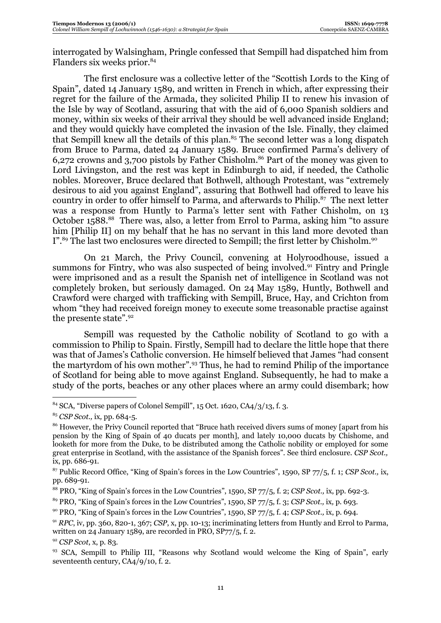interrogated by Walsingham, Pringle confessed that Sempill had dispatched him from Flanders six weeks prior.<sup>84</sup>

The first enclosure was a collective letter of the "Scottish Lords to the King of Spain", dated 14 January 1589, and written in French in which, after expressing their regret for the failure of the Armada, they solicited Philip II to renew his invasion of the Isle by way of Scotland, assuring that with the aid of 6,000 Spanish soldiers and money, within six weeks of their arrival they should be well advanced inside England; and they would quickly have completed the invasion of the Isle. Finally, they claimed that Sempill knew all the details of this plan.<sup>85</sup> The second letter was a long dispatch from Bruce to Parma, dated 24 January 1589. Bruce confirmed Parma's delivery of 6,272 crowns and 3,700 pistols by Father Chisholm.<sup>86</sup> Part of the money was given to Lord Livingston, and the rest was kept in Edinburgh to aid, if needed, the Catholic nobles. Moreover, Bruce declared that Bothwell, although Protestant, was "extremely desirous to aid you against England", assuring that Bothwell had offered to leave his country in order to offer himself to Parma, and afterwards to Philip.<sup>87</sup> The next letter was a response from Huntly to Parma's letter sent with Father Chisholm, on 13 October 1588<sup>88</sup> There was, also, a letter from Errol to Parma, asking him "to assure him [Philip II] on my behalf that he has no servant in this land more devoted than I".<sup>89</sup> The last two enclosures were directed to Sempill; the first letter by Chisholm.<sup>90</sup>

On 21 March, the Privy Council, convening at Holyroodhouse, issued a summons for Fintry, who was also suspected of being involved.<sup>91</sup> Fintry and Pringle were imprisoned and as a result the Spanish net of intelligence in Scotland was not completely broken, but seriously damaged. On 24 May 1589, Huntly, Bothwell and Crawford were charged with trafficking with Sempill, Bruce, Hay, and Crichton from whom "they had received foreign money to execute some treasonable practise against the presente state".92

Sempill was requested by the Catholic nobility of Scotland to go with a commission to Philip to Spain. Firstly, Sempill had to declare the little hope that there was that of James's Catholic conversion. He himself believed that James "had consent the martyrdom of his own mother".93 Thus, he had to remind Philip of the importance of Scotland for being able to move against England. Subsequently, he had to make a study of the ports, beaches or any other places where an army could disembark; how

 $84$  SCA, "Diverse papers of Colonel Sempill", 15 Oct. 1620, CA4/3/13, f. 3.

<sup>85</sup> *CSP Scot.,* ix*,* pp. 684-5.

<sup>&</sup>lt;sup>86</sup> However, the Privy Council reported that "Bruce hath received divers sums of money [apart from his pension by the King of Spain of 40 ducats per month], and lately 10,000 ducats by Chishome, and looketh for more from the Duke, to be distributed among the Catholic nobility or employed for some great enterprise in Scotland, with the assistance of the Spanish forces". See third enclosure. *CSP Scot.,* ix, pp. 686-91.

<sup>87</sup> Public Record Office, "King of Spain's forces in the Low Countries", 1590, SP 77/5, f. 1; *CSP Scot.,* ix, pp. 689-91.

<sup>88</sup> PRO, "King of Spain's forces in the Low Countries", 1590, SP 77/5, f. 2; *CSP Scot.,* ix, pp. 692-3.

<sup>89</sup> PRO, "King of Spain's forces in the Low Countries", 1590, SP 77/5, f. 3; *CSP Scot.,* ix*,* p. 693.

<sup>90</sup> PRO, "King of Spain's forces in the Low Countries", 1590, SP 77/5, f. 4; *CSP Scot.,* ix, p. 694.

<sup>91</sup> *RPC*, iv, pp. 360, 820-1, 367; *CSP*, x, pp. 10-13; incriminating letters from Huntly and Errol to Parma, written on 24 January 1589, are recorded in PRO, SP77/5, f. 2.

<sup>&</sup>lt;sup>92</sup> *CSP Scot*, x, p. 83.<br><sup>93</sup> SCA, Sempill to Philip III, "Reasons why Scotland would welcome the King of Spain", early seventeenth century, CA4/9/10, f. 2.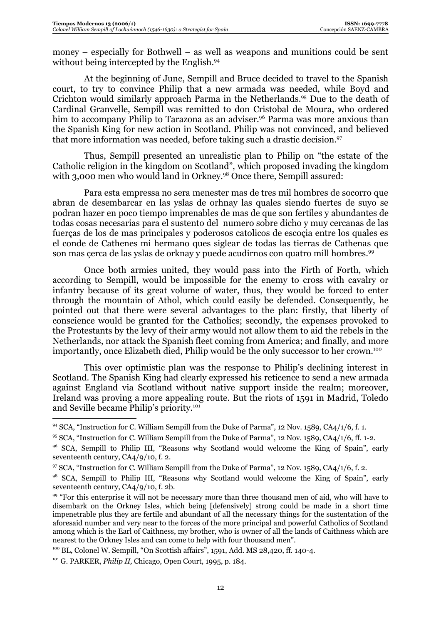money – especially for Bothwell – as well as weapons and munitions could be sent without being intercepted by the English.<sup>94</sup>

At the beginning of June, Sempill and Bruce decided to travel to the Spanish court, to try to convince Philip that a new armada was needed, while Boyd and Crichton would similarly approach Parma in the Netherlands.95 Due to the death of Cardinal Granvelle, Sempill was remitted to don Cristobal de Moura, who ordered him to accompany Philip to Tarazona as an adviser.<sup>96</sup> Parma was more anxious than the Spanish King for new action in Scotland. Philip was not convinced, and believed that more information was needed, before taking such a drastic decision.<sup>97</sup>

Thus, Sempill presented an unrealistic plan to Philip on "the estate of the Catholic religion in the kingdom on Scotland", which proposed invading the kingdom with 3,000 men who would land in Orkney.<sup>98</sup> Once there, Sempill assured:

Para esta empressa no sera menester mas de tres mil hombres de socorro que abran de desembarcar en las yslas de orhnay las quales siendo fuertes de suyo se podran hazer en poco tiempo imprenables de mas de que son fertiles y abundantes de todas cosas necesarias para el sustento del numero sobre dicho y muy cercanas de las fuerças de los de mas principales y poderosos catolicos de escoçia entre los quales es el conde de Cathenes mi hermano ques siglear de todas las tierras de Cathenas que son mas çerca de las yslas de orknay y puede acudirnos con quatro mill hombres.<sup>99</sup>

Once both armies united, they would pass into the Firth of Forth, which according to Sempill, would be impossible for the enemy to cross with cavalry or infantry because of its great volume of water, thus, they would be forced to enter through the mountain of Athol, which could easily be defended. Consequently, he pointed out that there were several advantages to the plan: firstly, that liberty of conscience would be granted for the Catholics; secondly, the expenses provoked to the Protestants by the levy of their army would not allow them to aid the rebels in the Netherlands, nor attack the Spanish fleet coming from America; and finally, and more importantly, once Elizabeth died, Philip would be the only successor to her crown.<sup>100</sup>

This over optimistic plan was the response to Philip's declining interest in Scotland. The Spanish King had clearly expressed his reticence to send a new armada against England via Scotland without native support inside the realm; moreover, Ireland was proving a more appealing route. But the riots of 1591 in Madrid, Toledo and Seville became Philip's priority.101

100 BL, Colonel W. Sempill, "On Scottish affairs", 1591, Add. MS 28,420, ff. 140-4.

 $94$  SCA, "Instruction for C. William Sempill from the Duke of Parma", 12 Nov. 1589, CA4/1/6, f. 1.

<sup>95</sup> SCA, "Instruction for C. William Sempill from the Duke of Parma", 12 Nov. 1589, CA4/1/6, ff. 1-2.

<sup>&</sup>lt;sup>96</sup> SCA, Sempill to Philip III, "Reasons why Scotland would welcome the King of Spain", early seventeenth century, CA4/9/10, f. 2.

<sup>97</sup> SCA, "Instruction for C. William Sempill from the Duke of Parma", 12 Nov. 1589, CA4/1/6, f. 2.

<sup>98</sup> SCA, Sempill to Philip III, "Reasons why Scotland would welcome the King of Spain", early seventeenth century, CA4/9/10, f. 2b.

<sup>&</sup>lt;sup>99</sup> "For this enterprise it will not be necessary more than three thousand men of aid, who will have to disembark on the Orkney Isles, which being [defensively] strong could be made in a short time impenetrable plus they are fertile and abundant of all the necessary things for the sustentation of the aforesaid number and very near to the forces of the more principal and powerful Catholics of Scotland among which is the Earl of Caithness, my brother, who is owner of all the lands of Caithness which are nearest to the Orkney Isles and can come to help with four thousand men".

<sup>101</sup> G. PARKER, *Philip II,* Chicago, Open Court, 1995, p. 184.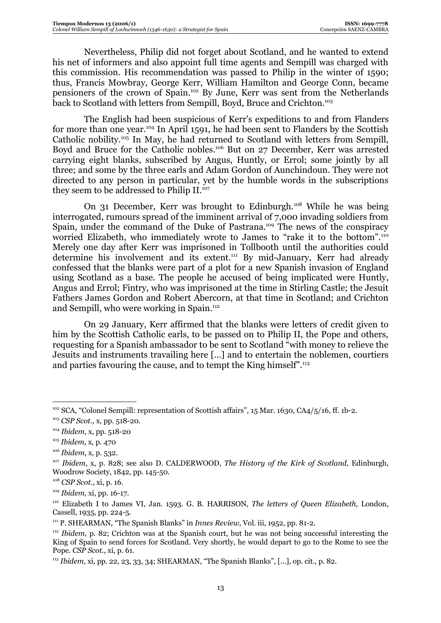Nevertheless, Philip did not forget about Scotland, and he wanted to extend his net of informers and also appoint full time agents and Sempill was charged with this commission. His recommendation was passed to Philip in the winter of 1590; thus, Francis Mowbray, George Kerr, William Hamilton and George Conn, became pensioners of the crown of Spain.102 By June, Kerr was sent from the Netherlands back to Scotland with letters from Sempill, Boyd, Bruce and Crichton.<sup>103</sup>

The English had been suspicious of Kerr's expeditions to and from Flanders for more than one year.104 In April 1591, he had been sent to Flanders by the Scottish Catholic nobility.105 In May, he had returned to Scotland with letters from Sempill, Boyd and Bruce for the Catholic nobles.<sup>106</sup> But on 27 December, Kerr was arrested carrying eight blanks, subscribed by Angus, Huntly, or Errol; some jointly by all three; and some by the three earls and Adam Gordon of Aunchindoun. They were not directed to any person in particular, yet by the humble words in the subscriptions they seem to be addressed to Philip II.<sup>107</sup>

On 31 December, Kerr was brought to Edinburgh.108 While he was being interrogated, rumours spread of the imminent arrival of 7,000 invading soldiers from Spain, under the command of the Duke of Pastrana.<sup>109</sup> The news of the conspiracy worried Elizabeth, who immediately wrote to James to "rake it to the bottom".<sup>110</sup> Merely one day after Kerr was imprisoned in Tollbooth until the authorities could determine his involvement and its extent.<sup>111</sup> By mid-January, Kerr had already confessed that the blanks were part of a plot for a new Spanish invasion of England using Scotland as a base. The people he accused of being implicated were Huntly, Angus and Errol; Fintry, who was imprisoned at the time in Stirling Castle; the Jesuit Fathers James Gordon and Robert Abercorn, at that time in Scotland; and Crichton and Sempill, who were working in Spain.<sup>112</sup>

On 29 January, Kerr affirmed that the blanks were letters of credit given to him by the Scottish Catholic earls, to be passed on to Philip II, the Pope and others, requesting for a Spanish ambassador to be sent to Scotland "with money to relieve the Jesuits and instruments travailing here […] and to entertain the noblemen, courtiers and parties favouring the cause, and to tempt the King himself".<sup>113</sup>

<sup>102</sup> SCA, "Colonel Sempill: representation of Scottish affairs", 15 Mar. 1630, CA4/5/16, ff. 1b-2. 103 *CSP Scot.,* x, pp. 518-20.

<sup>104</sup> *Ibidem*, x, pp. 518-20

<sup>105</sup> *Ibidem,* x, p. 470

<sup>106</sup> *Ibidem*, x, p. 532.

<sup>107</sup> *Ibidem*, x, p. 828; see also D. CALDERWOOD, *The History of the Kirk of Scotland,* Edinburgh, Woodrow Society, 1842, pp. 145-50.

<sup>108</sup> *CSP Scot.*, xi, p. 16.

<sup>&</sup>lt;sup>109</sup> *Ibidem*, xi, pp. 16-17.<br><sup>110</sup> Elizabeth I to James VI, Jan. 1593. G. B. HARRISON, *The letters of Queen Elizabeth*, London, Cassell, 1935, pp. 224-5.

<sup>&</sup>lt;sup>111</sup> P. SHEARMAN, "The Spanish Blanks" in *Innes Review*, Vol. iii, 1952, pp. 81-2.

<sup>112</sup> *Ibidem*, p. 82; Crichton was at the Spanish court, but he was not being successful interesting the King of Spain to send forces for Scotland. Very shortly, he would depart to go to the Rome to see the Pope. *CSP Scot.*, xi, p. 61.

<sup>113</sup> *Ibidem*, xi, pp. 22, 23, 33, 34; SHEARMAN, "The Spanish Blanks", [...], op. cit., p. 82.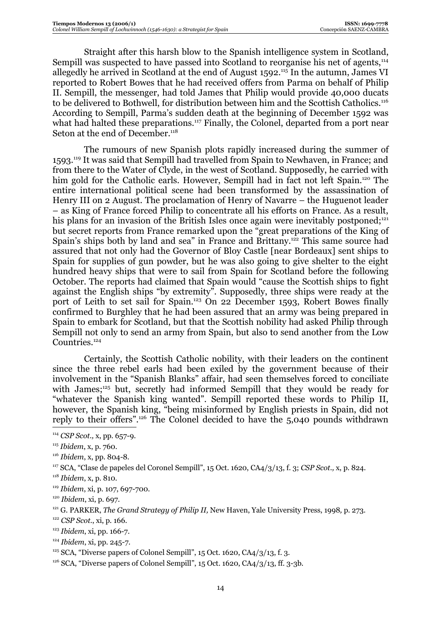Straight after this harsh blow to the Spanish intelligence system in Scotland, Sempill was suspected to have passed into Scotland to reorganise his net of agents.<sup>114</sup> allegedly he arrived in Scotland at the end of August 1592.115 In the autumn, James VI reported to Robert Bowes that he had received offers from Parma on behalf of Philip II. Sempill, the messenger, had told James that Philip would provide 40,000 ducats to be delivered to Bothwell, for distribution between him and the Scottish Catholics.<sup>116</sup> According to Sempill, Parma's sudden death at the beginning of December 1592 was what had halted these preparations.<sup>117</sup> Finally, the Colonel, departed from a port near Seton at the end of December.<sup>118</sup>

The rumours of new Spanish plots rapidly increased during the summer of 1593.119 It was said that Sempill had travelled from Spain to Newhaven, in France; and from there to the Water of Clyde, in the west of Scotland. Supposedly, he carried with him gold for the Catholic earls. However, Sempill had in fact not left Spain.<sup>120</sup> The entire international political scene had been transformed by the assassination of Henry III on 2 August. The proclamation of Henry of Navarre – the Huguenot leader – as King of France forced Philip to concentrate all his efforts on France. As a result, his plans for an invasion of the British Isles once again were inevitably postponed;<sup>121</sup> but secret reports from France remarked upon the "great preparations of the King of Spain's ships both by land and sea" in France and Brittany.<sup>122</sup> This same source had assured that not only had the Governor of Bloy Castle [near Bordeaux] sent ships to Spain for supplies of gun powder, but he was also going to give shelter to the eight hundred heavy ships that were to sail from Spain for Scotland before the following October. The reports had claimed that Spain would "cause the Scottish ships to fight against the English ships "by extremity". Supposedly, three ships were ready at the port of Leith to set sail for Spain.<sup>123</sup> On 22 December 1593, Robert Bowes finally confirmed to Burghley that he had been assured that an army was being prepared in Spain to embark for Scotland, but that the Scottish nobility had asked Philip through Sempill not only to send an army from Spain, but also to send another from the Low Countries.<sup>124</sup>

Certainly, the Scottish Catholic nobility, with their leaders on the continent since the three rebel earls had been exiled by the government because of their involvement in the "Spanish Blanks" affair, had seen themselves forced to conciliate with James;<sup>125</sup> but, secretly had informed Sempill that they would be ready for "whatever the Spanish king wanted". Sempill reported these words to Philip II, however, the Spanish king, "being misinformed by English priests in Spain, did not reply to their offers".126 The Colonel decided to have the 5,040 pounds withdrawn

- <sup>119</sup> *Ibidem*, xi, p. 107, 697-700.
- 

- <sup>122</sup> *CSP Scot.*, xi, p. 166.
- 
- 

<sup>114</sup> *CSP Scot.,* x, pp. 657-9.

<sup>115</sup> *Ibidem*, x, p. 760.

<sup>116</sup> *Ibidem*, x, pp. 804-8. 117 SCA, "Clase de papeles del Coronel Sempill", 15 Oct. 1620, CA4/3/13, f. 3; *CSP Scot.,* x, p. 824.

<sup>118</sup> *Ibidem*, x, p. 810.

<sup>&</sup>lt;sup>120</sup> *Ibidem*, xi, p. 697.<br><sup>121</sup> G. PARKER, *The Grand Strategy of Philip II*, New Haven, Yale University Press, 1998, p. 273.

<sup>&</sup>lt;sup>123</sup> *Ibidem*, xi, pp. 166-7.<br><sup>124</sup> *Ibidem*, xi, pp. 245-7.<br><sup>125</sup> SCA, "Diverse papers of Colonel Sempill", 15 Oct. 1620, CA4/3/13, ff. 3. 3b.<br><sup>126</sup> SCA, "Diverse papers of Colonel Sempill", 15 Oct. 1620, CA4/3/13, ff.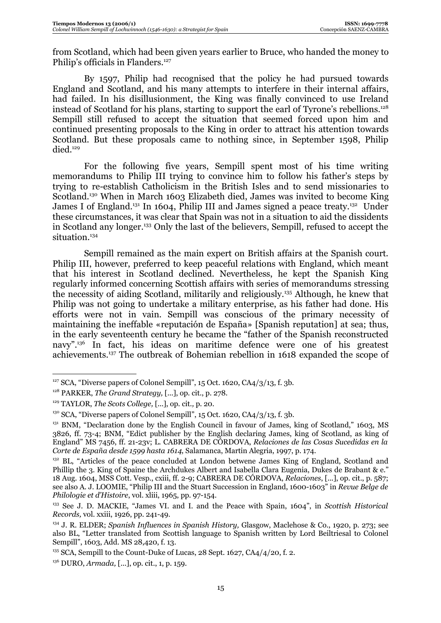from Scotland, which had been given years earlier to Bruce, who handed the money to Philip's officials in Flanders.127

By 1597, Philip had recognised that the policy he had pursued towards England and Scotland, and his many attempts to interfere in their internal affairs, had failed. In his disillusionment, the King was finally convinced to use Ireland instead of Scotland for his plans, starting to support the earl of Tyrone's rebellions.128 Sempill still refused to accept the situation that seemed forced upon him and continued presenting proposals to the King in order to attract his attention towards Scotland. But these proposals came to nothing since, in September 1598, Philip died.129

For the following five years, Sempill spent most of his time writing memorandums to Philip III trying to convince him to follow his father's steps by trying to re-establish Catholicism in the British Isles and to send missionaries to Scotland.130 When in March 1603 Elizabeth died, James was invited to become King James I of England.<sup>131</sup> In 1604, Philip III and James signed a peace treaty.<sup>132</sup> Under these circumstances, it was clear that Spain was not in a situation to aid the dissidents in Scotland any longer.133 Only the last of the believers, Sempill, refused to accept the situation.<sup>134</sup>

Sempill remained as the main expert on British affairs at the Spanish court. Philip III, however, preferred to keep peaceful relations with England, which meant that his interest in Scotland declined. Nevertheless, he kept the Spanish King regularly informed concerning Scottish affairs with series of memorandums stressing the necessity of aiding Scotland, militarily and religiously.135 Although, he knew that Philip was not going to undertake a military enterprise, as his father had done. His efforts were not in vain. Sempill was conscious of the primary necessity of maintaining the ineffable «reputación de España» [Spanish reputation] at sea; thus, in the early seventeenth century he became the "father of the Spanish reconstructed navy".136 In fact, his ideas on maritime defence were one of his greatest achievements.137 The outbreak of Bohemian rebellion in 1618 expanded the scope of

 $127$  SCA. "Diverse papers of Colonel Sempill", 15 Oct. 1620, CA4/3/13, f. 3b.

<sup>128</sup> PARKER, *The Grand Strategy,* [...], op. cit., p. 278.

<sup>129</sup> TAYLOR, *The Scots College,* [...], op. cit.*,* p. 20.

 $130$  SCA, "Diverse papers of Colonel Sempill", 15 Oct. 1620, CA $4/3/13$ , f. 3b.

 $131$  BNM, "Declaration done by the English Council in favour of James, king of Scotland," 1603, MS 3826, ff. 73-4; BNM, "Edict publisher by the English declaring James, king of Scotland, as king of England" MS 7456, ff. 21-23v; L. CABRERA DE CÓRDOVA, *Relaciones de las Cosas Sucedidas en la Corte de España desde 1599 hasta 1614, Salamanca, Martin Alegria, 1997, p. 174.*<br><sup>132</sup> BL, "Articles of the peace concluded at London betwene James King of England, Scotland and

Phillip the 3. King of Spaine the Archdukes Albert and Isabella Clara Eugenia, Dukes de Brabant & e." 18 Aug. 1604, MSS Cott. Vesp., cxiii, ff. 2-9; CABRERA DE CÓRDOVA, *Relaciones*, [...], op. cit., p. 587; see also A. J. LOOMIE, "Philip III and the Stuart Succession in England, 1600-1603" in *Revue Belge de Philologie et d'Histoire*, vol. xliii, 1965, pp. 97-154.

<sup>133</sup> See J. D. MACKIE, "James VI. and I. and the Peace with Spain, 1604", in *Scottish Historical Records,* vol. xxiii, 1926, pp. 241-49.

<sup>134</sup> J. R. ELDER; *Spanish Influences in Spanish History,* Glasgow, Maclehose & Co., 1920, p. 273; see also BL, "Letter translated from Scottish language to Spanish written by Lord Beiltriesal to Colonel Sempill", 1603, Add. MS 28,420, f. 13.

<sup>&</sup>lt;sup>135</sup> SCA, Sempill to the Count-Duke of Lucas, 28 Sept. 1627, CA4/4/20, f. 2.

<sup>136</sup> DURO, *Armada,* [...], op. cit., 1, p. 159.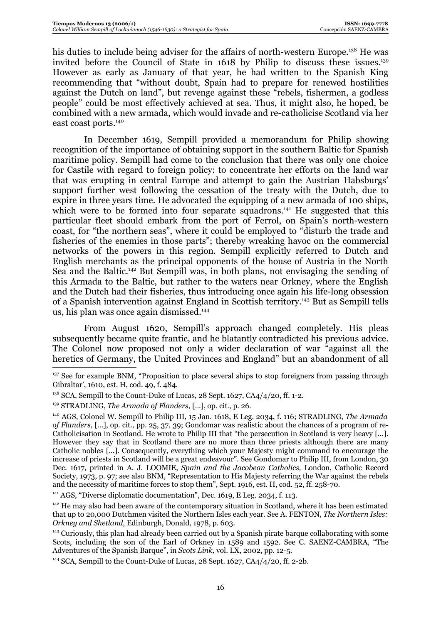his duties to include being adviser for the affairs of north-western Europe.<sup>138</sup> He was invited before the Council of State in 1618 by Philip to discuss these issues.<sup>139</sup> However as early as January of that year, he had written to the Spanish King recommending that "without doubt, Spain had to prepare for renewed hostilities against the Dutch on land", but revenge against these "rebels, fishermen, a godless people" could be most effectively achieved at sea. Thus, it might also, he hoped, be combined with a new armada, which would invade and re-catholicise Scotland via her east coast ports.<sup>140</sup>

In December 1619, Sempill provided a memorandum for Philip showing recognition of the importance of obtaining support in the southern Baltic for Spanish maritime policy. Sempill had come to the conclusion that there was only one choice for Castile with regard to foreign policy: to concentrate her efforts on the land war that was erupting in central Europe and attempt to gain the Austrian Habsburgs' support further west following the cessation of the treaty with the Dutch, due to expire in three years time. He advocated the equipping of a new armada of 100 ships, which were to be formed into four separate squadrons.<sup>141</sup> He suggested that this particular fleet should embark from the port of Ferrol, on Spain's north-western coast, for "the northern seas", where it could be employed to "disturb the trade and fisheries of the enemies in those parts"; thereby wreaking havoc on the commercial networks of the powers in this region. Sempill explicitly referred to Dutch and English merchants as the principal opponents of the house of Austria in the North Sea and the Baltic.142 But Sempill was, in both plans, not envisaging the sending of this Armada to the Baltic, but rather to the waters near Orkney, where the English and the Dutch had their fisheries, thus introducing once again his life-long obsession of a Spanish intervention against England in Scottish territory.143 But as Sempill tells us, his plan was once again dismissed.144

From August 1620, Sempill's approach changed completely. His pleas subsequently became quite frantic, and he blatantly contradicted his previous advice. The Colonel now proposed not only a wider declaration of war "against all the heretics of Germany, the United Provinces and England" but an abandonment of all

<sup>&</sup>lt;sup>137</sup> See for example BNM, "Proposition to place several ships to stop foreigners from passing through Gibraltar', 1610, est. H, cod. 49, f. 484.

 $138$  SCA, Sempill to the Count-Duke of Lucas, 28 Sept. 1627, CA4/4/20, ff. 1-2.

<sup>139</sup> STRADLING, *The Armada of Flanders*, [...], op. cit., p. 26.

<sup>140</sup> AGS, Colonel W. Sempill to Philip III, 15 Jan. 1618, E Leg. 2034, f. 116; STRADLING, *The Armada of Flanders*, [...], op. cit., pp. 25, 37, 39; Gondomar was realistic about the chances of a program of re-Catholicisation in Scotland. He wrote to Philip III that "the persecution in Scotland is very heavy [...]. However they say that in Scotland there are no more than three priests although there are many Catholic nobles [...]. Consequently, everything which your Majesty might command to encourage the increase of priests in Scotland will be a great endeavour". See Gondomar to Philip III, from London, 30 Dec. 1617, printed in A. J. LOOMIE, *Spain and the Jacobean Catholics,* London, Catholic Record Society, 1973, p. 97; see also BNM, "Representation to His Majesty referring the War against the rebels and the necessity of maritime forces to stop them", Sept. 1916, est. H, cod. 52, ff. 258-70.

<sup>&</sup>lt;sup>141</sup> AGS, "Diverse diplomatic documentation", Dec. 1619, E Leg. 2034, f. 113.

<sup>&</sup>lt;sup>142</sup> He may also had been aware of the contemporary situation in Scotland, where it has been estimated that up to 20,000 Dutchmen visited the Northern Isles each year. See A. FENTON, *The Northern Isles: Orkney and Shetland,* Edinburgh, Donald, 1978, p. 603.

<sup>&</sup>lt;sup>143</sup> Curiously, this plan had already been carried out by a Spanish pirate barque collaborating with some Scots, including the son of the Earl of Orkney in 1589 and 1592. See C. SAENZ-CAMBRA, "The Adventures of the Spanish Barque", in *Scots Link,* vol. LX, 2002, pp. 12-5.

<sup>&</sup>lt;sup>144</sup> SCA, Sempill to the Count-Duke of Lucas, 28 Sept. 1627, CA $4/4/20$ , ff. 2-2b.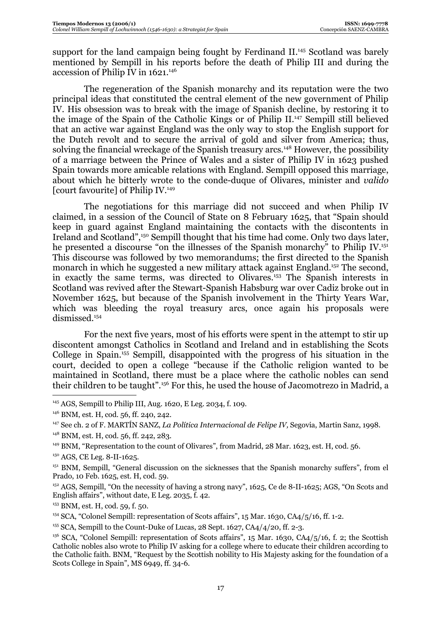support for the land campaign being fought by Ferdinand II.<sup>145</sup> Scotland was barely mentioned by Sempill in his reports before the death of Philip III and during the accession of Philip IV in 1621.146

The regeneration of the Spanish monarchy and its reputation were the two principal ideas that constituted the central element of the new government of Philip IV. His obsession was to break with the image of Spanish decline, by restoring it to the image of the Spain of the Catholic Kings or of Philip II.147 Sempill still believed that an active war against England was the only way to stop the English support for the Dutch revolt and to secure the arrival of gold and silver from America; thus, solving the financial wreckage of the Spanish treasury arcs.<sup>148</sup> However, the possibility of a marriage between the Prince of Wales and a sister of Philip IV in 1623 pushed Spain towards more amicable relations with England. Sempill opposed this marriage, about which he bitterly wrote to the conde-duque of Olivares, minister and *valido* [court favourite] of Philip IV.149

The negotiations for this marriage did not succeed and when Philip IV claimed, in a session of the Council of State on 8 February 1625, that "Spain should keep in guard against England maintaining the contacts with the discontents in Ireland and Scotland",150 Sempill thought that his time had come. Only two days later, he presented a discourse "on the illnesses of the Spanish monarchy" to Philip IV.<sup>151</sup> This discourse was followed by two memorandums; the first directed to the Spanish monarch in which he suggested a new military attack against England.<sup>152</sup> The second, in exactly the same terms, was directed to Olivares.153 The Spanish interests in Scotland was revived after the Stewart-Spanish Habsburg war over Cadiz broke out in November 1625, but because of the Spanish involvement in the Thirty Years War, which was bleeding the royal treasury arcs, once again his proposals were dismissed.154

For the next five years, most of his efforts were spent in the attempt to stir up discontent amongst Catholics in Scotland and Ireland and in establishing the Scots College in Spain.155 Sempill, disappointed with the progress of his situation in the court, decided to open a college "because if the Catholic religion wanted to be maintained in Scotland, there must be a place where the catholic nobles can send their children to be taught".156 For this, he used the house of Jacomotrezo in Madrid, a

<sup>&</sup>lt;sup>145</sup> AGS, Sempill to Philip III, Aug. 1620, E Leg. 2034, f. 109.

<sup>146</sup> BNM, est. H, cod. 56, ff. 240, 242.

<sup>147</sup> See ch. 2 of F. MARTÍN SANZ, *La Política Internacional de Felipe IV,* Segovia, Martin Sanz, 1998.

 $148$  BNM, est. H, cod. 56, ff. 242, 283.<br> $149$  BNM, "Representation to the count of Olivares", from Madrid, 28 Mar. 1623, est. H, cod. 56.

<sup>150</sup> AGS, CE Leg. 8-II-1625.

<sup>&</sup>lt;sup>151</sup> BNM, Sempill, "General discussion on the sicknesses that the Spanish monarchy suffers", from el Prado, 10 Feb. 1625, est. H, cod. 59.

 $P<sup>152</sup> AGS$ , Sempill, "On the necessity of having a strong navy", 1625, Ce de 8-II-1625; AGS, "On Scots and English affairs", without date, E Leg. 2035, f. 42.

<sup>&</sup>lt;sup>153</sup> BNM, est. H, cod. 59, f. 50.<br><sup>154</sup> SCA, "Colonel Sempill: representation of Scots affairs", 15 Mar. 1630, CA4/5/16, ff. 1-2.

<sup>&</sup>lt;sup>155</sup> SCA, Sempill to the Count-Duke of Lucas, 28 Sept.  $1627$ , CA $4/4/20$ , ff. 2-3.

<sup>&</sup>lt;sup>156</sup> SCA, "Colonel Sempill: representation of Scots affairs", 15 Mar. 1630, CA4/5/16, f. 2; the Scottish Catholic nobles also wrote to Philip IV asking for a college where to educate their children according to the Catholic faith. BNM, "Request by the Scottish nobility to His Majesty asking for the foundation of a Scots College in Spain", MS 6949, ff. 34-6.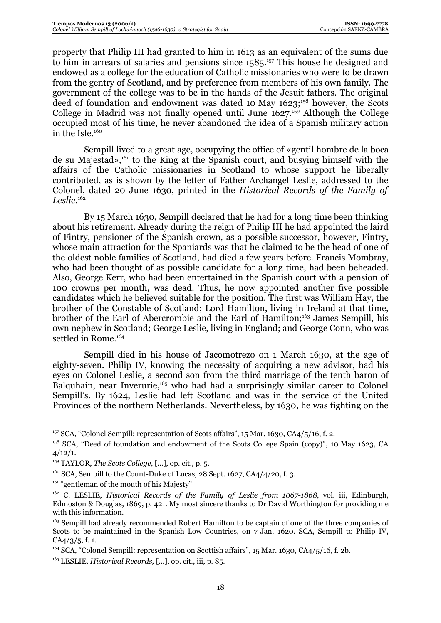property that Philip III had granted to him in 1613 as an equivalent of the sums due to him in arrears of salaries and pensions since 1585.<sup>157</sup> This house he designed and endowed as a college for the education of Catholic missionaries who were to be drawn from the gentry of Scotland, and by preference from members of his own family. The government of the college was to be in the hands of the Jesuit fathers. The original deed of foundation and endowment was dated 10 May 1623;<sup>158</sup> however, the Scots College in Madrid was not finally opened until June 1627.<sup>159</sup> Although the College occupied most of his time, he never abandoned the idea of a Spanish military action in the Isle.<sup>160</sup>

Sempill lived to a great age, occupying the office of «gentil hombre de la boca de su Majestad»,161 to the King at the Spanish court, and busying himself with the affairs of the Catholic missionaries in Scotland to whose support he liberally contributed, as is shown by the letter of Father Archangel Leslie, addressed to the Colonel, dated 20 June 1630, printed in the *Historical Records of the Family of Leslie*. 162

By 15 March 1630, Sempill declared that he had for a long time been thinking about his retirement. Already during the reign of Philip III he had appointed the laird of Fintry, pensioner of the Spanish crown, as a possible successor, however, Fintry, whose main attraction for the Spaniards was that he claimed to be the head of one of the oldest noble families of Scotland, had died a few years before. Francis Mombray, who had been thought of as possible candidate for a long time, had been beheaded. Also, George Kerr, who had been entertained in the Spanish court with a pension of 100 crowns per month, was dead. Thus, he now appointed another five possible candidates which he believed suitable for the position. The first was William Hay, the brother of the Constable of Scotland; Lord Hamilton, living in Ireland at that time, brother of the Earl of Abercrombie and the Earl of Hamilton;<sup>163</sup> James Sempill, his own nephew in Scotland; George Leslie, living in England; and George Conn, who was settled in Rome.<sup>164</sup>

Sempill died in his house of Jacomotrezo on 1 March 1630, at the age of eighty-seven. Philip IV, knowing the necessity of acquiring a new advisor, had his eyes on Colonel Leslie, a second son from the third marriage of the tenth baron of Balquhain, near Inverurie,<sup>165</sup> who had had a surprisingly similar career to Colonel Sempill's. By 1624, Leslie had left Scotland and was in the service of the United Provinces of the northern Netherlands. Nevertheless, by 1630, he was fighting on the

<sup>157</sup> SCA, "Colonel Sempill: representation of Scots affairs", 15 Mar. 1630, CA4/5/16, f. 2.

<sup>158</sup> SCA, "Deed of foundation and endowment of the Scots College Spain (copy)", 10 May 1623, CA  $4/12/1.$ 

<sup>159</sup> TAYLOR, *The Scots College,* [...], op. cit., p. 5.

<sup>&</sup>lt;sup>160</sup> SCA, Sempill to the Count-Duke of Lucas, 28 Sept. 1627, CA4/4/20, f. 3.

<sup>&</sup>lt;sup>161</sup> "gentleman of the mouth of his Majesty"

<sup>&</sup>lt;sup>162</sup> C. LESLIE, *Historical Records of the Family of Leslie from 1067-1868*, vol. iii, Edinburgh, Edmoston & Douglas, 1869, p. 421. My most sincere thanks to Dr David Worthington for providing me with this information.

<sup>&</sup>lt;sup>163</sup> Sempill had already recommended Robert Hamilton to be captain of one of the three companies of Scots to be maintained in the Spanish Low Countries, on 7 Jan. 1620. SCA, Sempill to Philip IV, CA4/3/5, f. 1.

<sup>&</sup>lt;sup>164</sup> SCA, "Colonel Sempill: representation on Scottish affairs", 15 Mar. 1630, CA $\frac{4}{5}$ /16, f. 2b.

<sup>165</sup> LESLIE, *Historical Records,* [...], op. cit., iii, p. 85.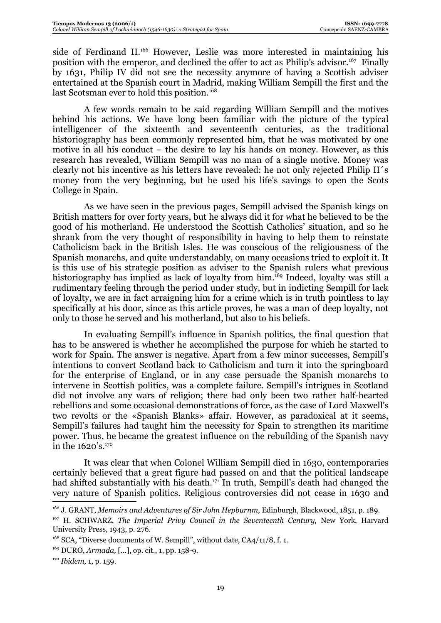side of Ferdinand II.<sup>166</sup> However, Leslie was more interested in maintaining his position with the emperor, and declined the offer to act as Philip's advisor.<sup>167</sup> Finally by 1631, Philip IV did not see the necessity anymore of having a Scottish adviser entertained at the Spanish court in Madrid, making William Sempill the first and the last Scotsman ever to hold this position.<sup>168</sup>

A few words remain to be said regarding William Sempill and the motives behind his actions. We have long been familiar with the picture of the typical intelligencer of the sixteenth and seventeenth centuries, as the traditional historiography has been commonly represented him, that he was motivated by one motive in all his conduct – the desire to lay his hands on money. However, as this research has revealed, William Sempill was no man of a single motive. Money was clearly not his incentive as his letters have revealed: he not only rejected Philip II´s money from the very beginning, but he used his life's savings to open the Scots College in Spain.

As we have seen in the previous pages, Sempill advised the Spanish kings on British matters for over forty years, but he always did it for what he believed to be the good of his motherland. He understood the Scottish Catholics' situation, and so he shrank from the very thought of responsibility in having to help them to reinstate Catholicism back in the British Isles. He was conscious of the religiousness of the Spanish monarchs, and quite understandably, on many occasions tried to exploit it. It is this use of his strategic position as adviser to the Spanish rulers what previous historiography has implied as lack of loyalty from him.<sup>169</sup> Indeed, loyalty was still a rudimentary feeling through the period under study, but in indicting Sempill for lack of loyalty, we are in fact arraigning him for a crime which is in truth pointless to lay specifically at his door, since as this article proves, he was a man of deep loyalty, not only to those he served and his motherland, but also to his beliefs.

In evaluating Sempill's influence in Spanish politics, the final question that has to be answered is whether he accomplished the purpose for which he started to work for Spain. The answer is negative. Apart from a few minor successes, Sempill's intentions to convert Scotland back to Catholicism and turn it into the springboard for the enterprise of England, or in any case persuade the Spanish monarchs to intervene in Scottish politics, was a complete failure. Sempill's intrigues in Scotland did not involve any wars of religion; there had only been two rather half-hearted rebellions and some occasional demonstrations of force, as the case of Lord Maxwell's two revolts or the «Spanish Blanks» affair. However, as paradoxical at it seems, Sempill's failures had taught him the necessity for Spain to strengthen its maritime power. Thus, he became the greatest influence on the rebuilding of the Spanish navy in the 1620's.170

It was clear that when Colonel William Sempill died in 1630, contemporaries certainly believed that a great figure had passed on and that the political landscape had shifted substantially with his death.<sup>171</sup> In truth, Sempill's death had changed the very nature of Spanish politics. Religious controversies did not cease in 1630 and

<sup>&</sup>lt;sup>166</sup> J. GRANT, *Memoirs and Adventures of Sir John Hepburnm*, Edinburgh, Blackwood, 1851, p. 189.

<sup>167</sup> H. SCHWARZ, *The Imperial Privy Council in the Seventeenth Century,* New York, Harvard University Press, 1943, p. 276.

<sup>&</sup>lt;sup>168</sup> SCA, "Diverse documents of W. Sempill", without date, CA4/11/8, f. 1.

<sup>169</sup> DURO, *Armada,* [...], op. cit., 1, pp. 158-9.

<sup>170</sup> *Ibidem,* 1, p. 159.